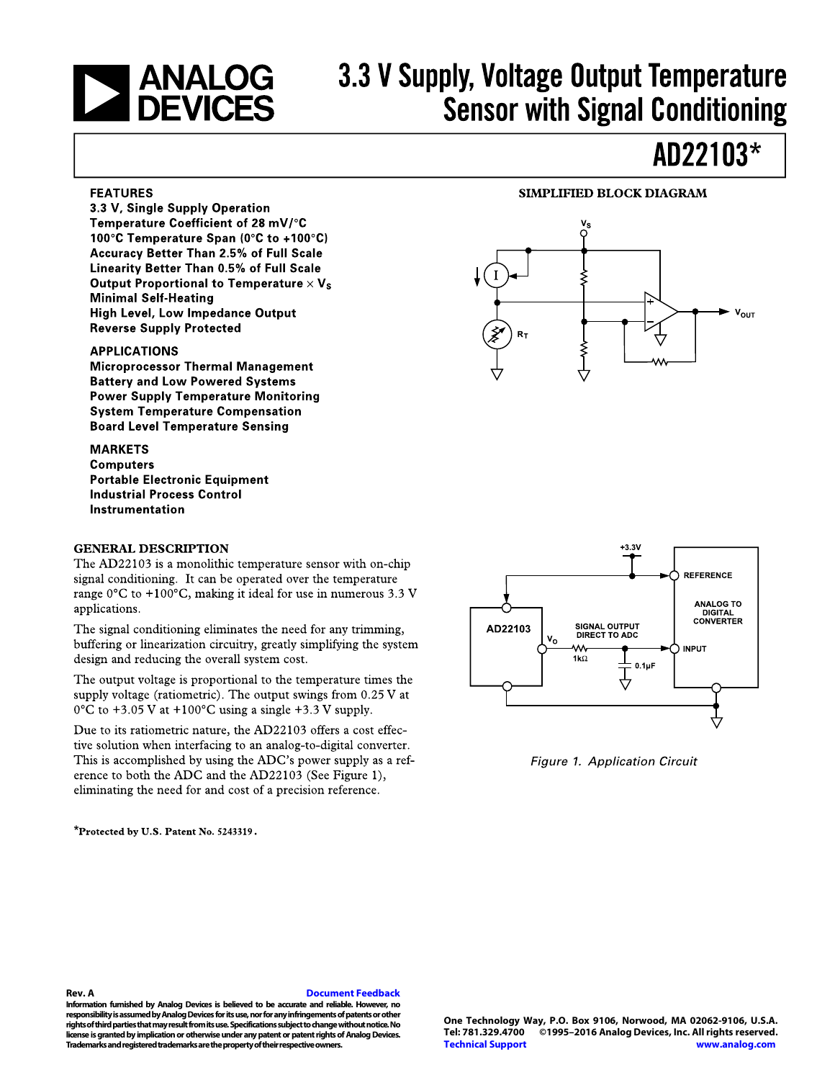# **NEXALOG**<br>DEVICES

3.3 V, Single Supply Operation Temperature Coefficient of 28 mV/°C 100°C Temperature Span (0°C to +100°C) **Accuracy Better Than 2.5% of Full Scale** Linearity Better Than 0.5% of Full Scale Output Proportional to Temperature  $\times$  V<sub>s</sub>

**Minimal Self-Heating** 

**Reverse Supply Protected** 

**FEATURES** 

# 3.3 V Supply, Voltage Output Temperature **Sensor with Signal Conditioning**

## AD22103\*

### **SIMPLIFIED BLOCK DIAGRAM**



**APPLICATIONS Microprocessor Thermal Management Battery and Low Powered Systems Power Supply Temperature Monitoring System Temperature Compensation** 

**High Level, Low Impedance Output** 

**MARKETS Computers Portable Electronic Equipment Industrial Process Control** Instrumentation

**Board Level Temperature Sensing** 

### **GENERAL DESCRIPTION**

The AD22103 is a monolithic temperature sensor with on-chip signal conditioning. It can be operated over the temperature range  $0^{\circ}$ C to +100 $^{\circ}$ C, making it ideal for use in numerous 3.3 V applications.

The signal conditioning eliminates the need for any trimming, buffering or linearization circuitry, greatly simplifying the system design and reducing the overall system cost.

The output voltage is proportional to the temperature times the supply voltage (ratiometric). The output swings from  $0.25$  V at  $0^{\circ}$ C to +3.05 V at +100 $^{\circ}$ C using a single +3.3 V supply.

Due to its ratiometric nature, the AD22103 offers a cost effective solution when interfacing to an analog-to-digital converter. This is accomplished by using the ADC's power supply as a reference to both the ADC and the AD22103 (See Figure 1), eliminating the need for and cost of a precision reference.

\*Protected by U.S. Patent No. 5243319.



Figure 1. Application Circuit

#### **Rev. A [Document Feedback](https://form.analog.com/Form_Pages/feedback/documentfeedback.aspx?doc=AD22103.pdf&product=AD22103&rev=A)**

**Information furnished by Analog Devices is believed to be accurate and reliable. However, no responsibility is assumed by Analog Devices for its use, nor for any infringements of patents or other rights of third parties that may result from its use. Specifications subject to change without notice. No license is granted by implication or otherwise under any patent or patent rights of Analog Devices. Trademarks and registered trademarks are the property of their respective owners.**

**One Technology Way, P.O. Box 9106, Norwood, MA 02062-9106, U.S.A. Tel: 781.329.4700 ©1995–2016 Analog Devices, Inc. All rights reserved. [Technical Support](http://www.analog.com/en/content/technical_support_page/fca.html) [www.analog.com](http://www.analog.com/)**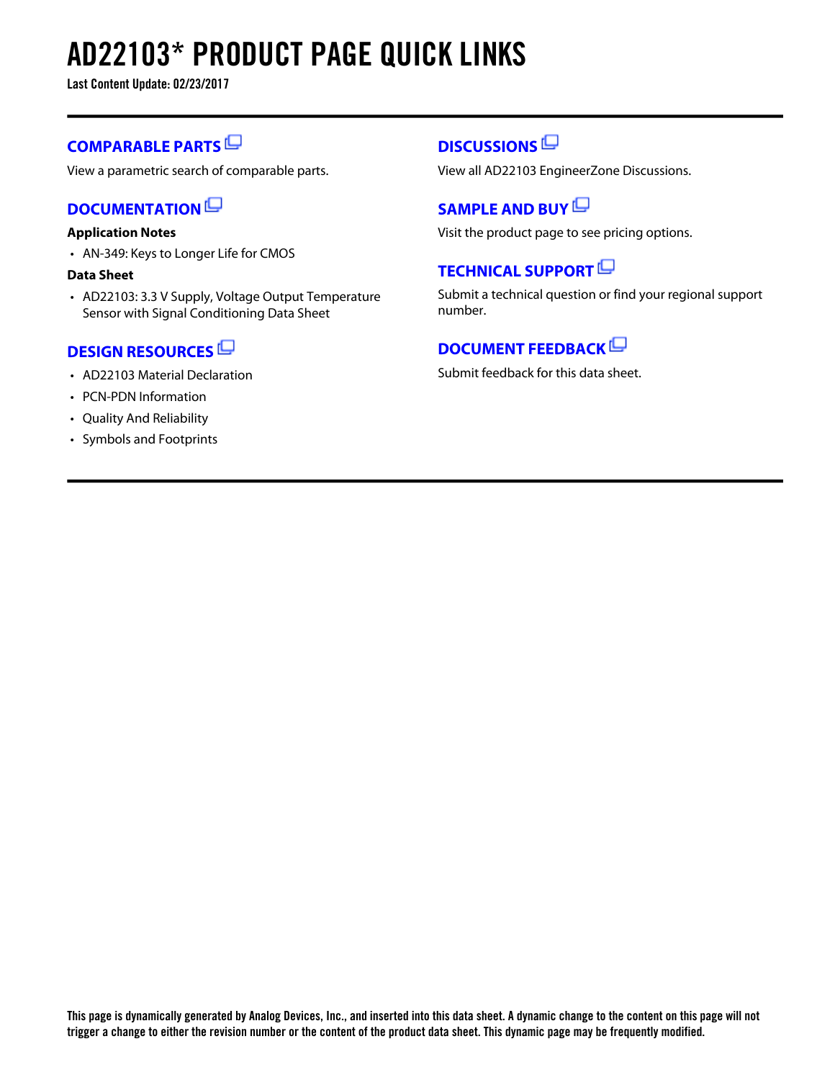# **AD22103\* PRODUCT PAGE QUICK LINKS**

**Last Content Update: 02/23/2017**

### **[COMPARABLE PARTS](http://www.analog.com/parametricsearch/en/11020?doc=AD22103.pdf&p0=1&lsrc=pst)**

View a parametric search of comparable parts.

### **[DOCUMENTATION](http://www.analog.com/ad22103/documentation?doc=AD22103.pdf&p0=1&lsrc=doc)**

### **Application Notes**

• AN-349: Keys to Longer Life for CMOS

### **Data Sheet**

• AD22103: 3.3 V Supply, Voltage Output Temperature Sensor with Signal Conditioning Data Sheet

### **[DESIGN RESOURCES](http://www.analog.com/ad22103/designsources?doc=AD22103.pdf&p0=1&lsrc=dr)**

- AD22103 Material Declaration
- PCN-PDN Information
- Quality And Reliability
- Symbols and Footprints

### **[DISCUSSIONS](http://www.analog.com/ad22103/discussions?doc=AD22103.pdf&p0=1&lsrc=disc)**

View all AD22103 EngineerZone Discussions.

### **[SAMPLE AND BUY](http://www.analog.com/ad22103/sampleandbuy?doc=AD22103.pdf&p0=1&lsrc=sb)**

Visit the product page to see pricing options.

### **[TECHNICAL SUPPORT](http://www.analog.com/support/technical-support.html?doc=AD22103.pdf&p0=1&lsrc=techs)**

Submit a technical question or find your regional support number.

### **[DOCUMENT FEEDBACK](https://form.analog.com/Form_Pages/feedback/documentfeedback.aspx?doc=AD22103.pdf&product=AD22103&p0=1&lsrc=dfs)**

Submit feedback for this data sheet.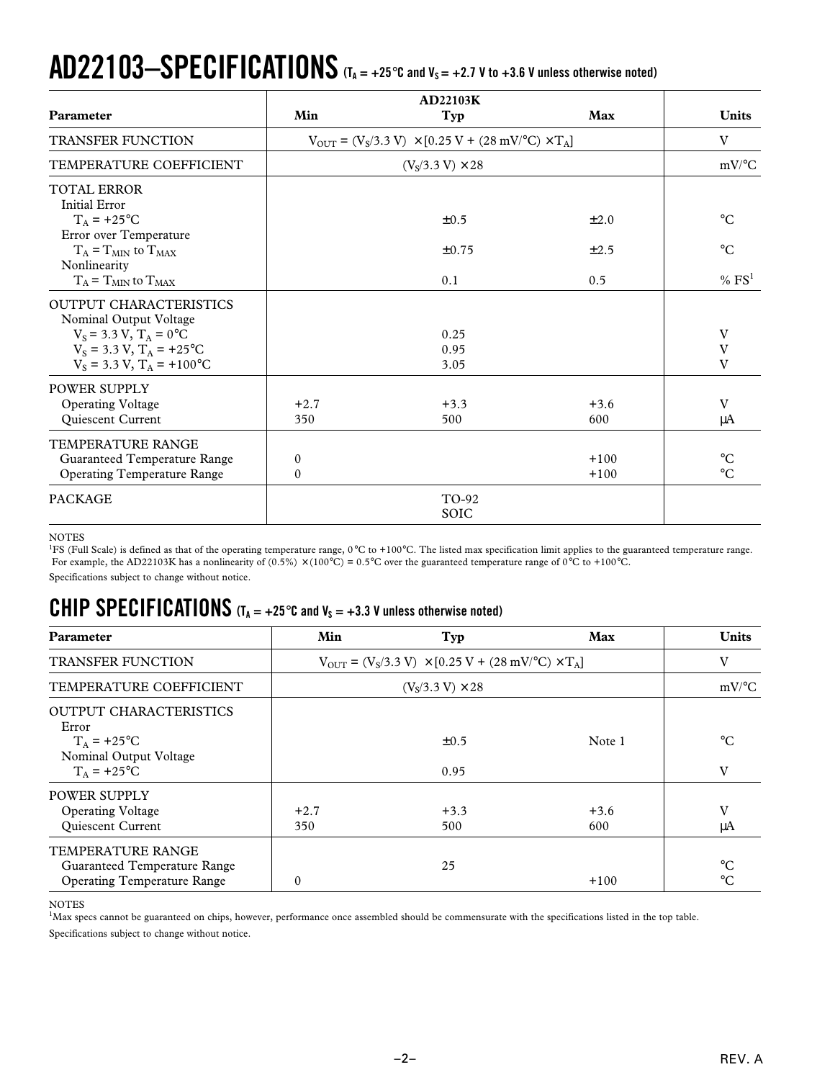# $AD22103-SPECIFICATIONS$  (T<sub>A = +25 $^{\circ}$ C and V<sub>S</sub> = +2.7 V to +3.6 V unless otherwise noted)</sub>

|                                                         | <b>AD22103K</b> |                                                                                                                     |           |                     |
|---------------------------------------------------------|-----------------|---------------------------------------------------------------------------------------------------------------------|-----------|---------------------|
| Parameter                                               | Min             | Typ                                                                                                                 | Max       | <b>Units</b>        |
| <b>TRANSFER FUNCTION</b>                                |                 | $V_{\text{OUT}} = (V_s/3.3 \text{ V}) \times [0.25 \text{ V} + (28 \text{ mV})^{\circ}\text{C}) \times \text{T_A}]$ |           | V                   |
| TEMPERATURE COEFFICIENT                                 |                 | $(VS/3.3 V) \times 28$                                                                                              |           | $mV$ <sup>o</sup> C |
| <b>TOTAL ERROR</b><br><b>Initial Error</b>              |                 |                                                                                                                     |           |                     |
| $T_A$ = +25°C<br>Error over Temperature                 |                 | $\pm 0.5$                                                                                                           | $\pm 2.0$ | $^{\circ}C$         |
| $T_A = T_{MIN}$ to $T_{MAX}$<br>Nonlinearity            |                 | ±0.75                                                                                                               | $\pm 2.5$ | $^{\circ}C$         |
| $T_A = T_{MIN}$ to $T_{MAX}$                            |                 | 0.1                                                                                                                 | 0.5       | % FS <sup>1</sup>   |
| <b>OUTPUT CHARACTERISTICS</b><br>Nominal Output Voltage |                 |                                                                                                                     |           |                     |
| $V_s = 3.3 V$ , $T_A = 0$ °C                            |                 | 0.25                                                                                                                |           | V                   |
| $V_S = 3.3 V$ , $T_A = +25$ °C                          |                 | 0.95                                                                                                                |           | V                   |
| $V_S = 3.3 V$ , $T_A = +100$ °C                         |                 | 3.05                                                                                                                |           | V                   |
| <b>POWER SUPPLY</b>                                     |                 |                                                                                                                     |           |                     |
| <b>Operating Voltage</b>                                | $+2.7$          | $+3.3$                                                                                                              | $+3.6$    | V                   |
| Quiescent Current                                       | 350             | 500                                                                                                                 | 600       | μA                  |
| <b>TEMPERATURE RANGE</b>                                |                 |                                                                                                                     |           |                     |
| Guaranteed Temperature Range                            | $\mathbf{0}$    |                                                                                                                     | $+100$    | $^{\circ}C$         |
| <b>Operating Temperature Range</b>                      | $\Omega$        |                                                                                                                     | $+100$    | $^{\circ}C$         |
| <b>PACKAGE</b>                                          |                 | TO-92                                                                                                               |           |                     |
|                                                         |                 | <b>SOIC</b>                                                                                                         |           |                     |

#### **NOTES**

<sup>1</sup>FS (Full Scale) is defined as that of the operating temperature range, 0°C to +100°C. The listed max specification limit applies to the guaranteed temperature range. For example, the AD22103K has a nonlinearity of  $(0.5\%) \times (100\degree C) = 0.5\degree C$  over the guaranteed temperature range of 0°C to +100°C.

Specifications subject to change without notice.

### **CHIP SPECIFICATIONS**  $(T_A = +25^\circ \text{C}$  and  $V_S = +3.3 \text{ V}$  unless otherwise noted)

| <b>Parameter</b>                                                                                   | Min                                                                                                                | Typ                    | Max           | <b>Units</b>                       |
|----------------------------------------------------------------------------------------------------|--------------------------------------------------------------------------------------------------------------------|------------------------|---------------|------------------------------------|
| <b>TRANSFER FUNCTION</b>                                                                           | $V_{\text{OUT}} = (V_s/3.3 \text{ V}) \times [0.25 \text{ V} + (28 \text{ mV})^{\circ}\text{C}) \times \text{T_A}$ |                        |               | V                                  |
| TEMPERATURE COEFFICIENT                                                                            |                                                                                                                    | $(VS/3.3 V) \times 28$ |               | $mV$ <sup>o</sup> C                |
| <b>OUTPUT CHARACTERISTICS</b><br>Error<br>$T_A$ = +25°C<br>Nominal Output Voltage<br>$T_A$ = +25°C |                                                                                                                    | $\pm 0.5$<br>0.95      | Note 1        | $^{\circ}C$<br>V                   |
| <b>POWER SUPPLY</b><br><b>Operating Voltage</b><br>Quiescent Current                               | $+2.7$<br>350                                                                                                      | $+3.3$<br>500          | $+3.6$<br>600 | V<br>μA                            |
| <b>TEMPERATURE RANGE</b><br>Guaranteed Temperature Range<br><b>Operating Temperature Range</b>     | $\mathbf{0}$                                                                                                       | 25                     | $+100$        | $\rm ^{\circ}C$<br>$\rm ^{\circ}C$ |

### NOTES

<sup>1</sup>Max specs cannot be guaranteed on chips, however, performance once assembled should be commensurate with the specifications listed in the top table. Specifications subject to change without notice.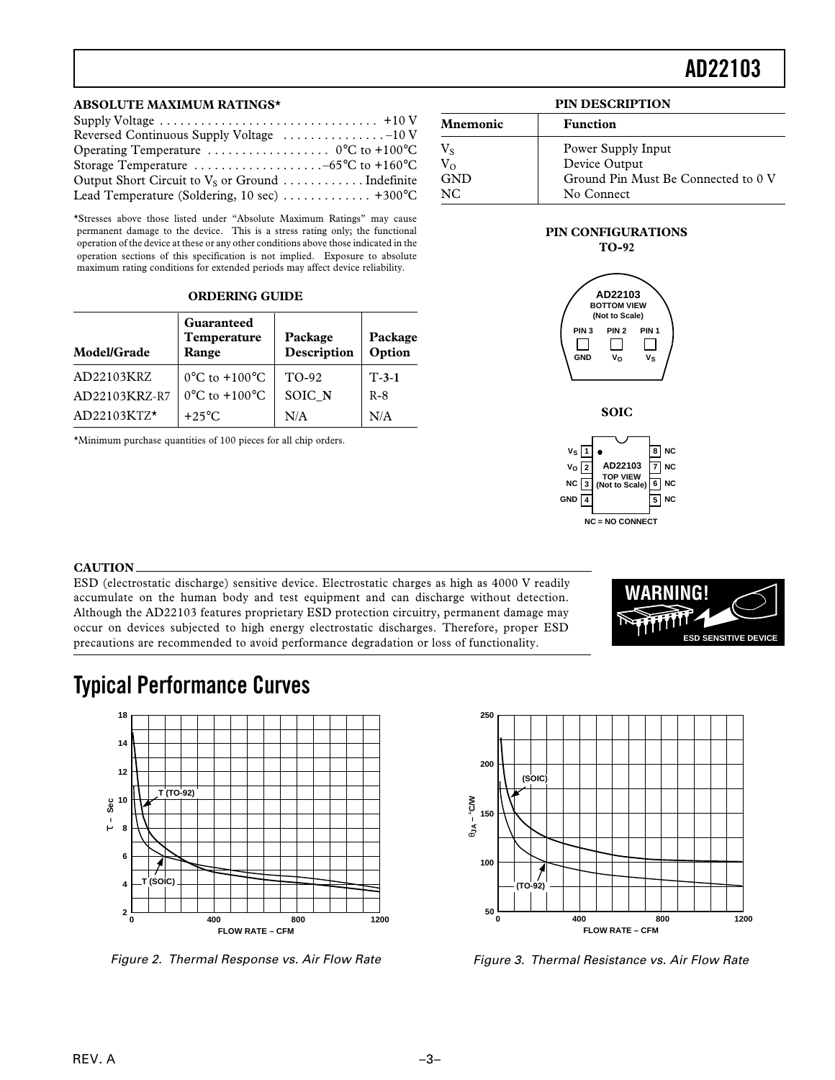### **AD22103**

#### **ABSOLUTE MAXIMUM RATINGS\***

| Reversed Continuous Supply Voltage -10 V                                   |
|----------------------------------------------------------------------------|
|                                                                            |
| Storage Temperature $\dots \dots \dots \dots \dots \dots -65$ °C to +160°C |
|                                                                            |
| Lead Temperature (Soldering, 10 sec) $\dots \dots \dots \dots$ +300°C      |

\*Stresses above those listed under "Absolute Maximum Ratings" may cause permanent damage to the device. This is a stress rating only; the functional operation of the device at these or any other conditions above those indicated in the operation sections of this specification is not implied. Exposure to absolute maximum rating conditions for extended periods may affect device reliability.

#### **ORDERING GUIDE**

| Model/Grade   | Guaranteed<br>Temperature<br>Range | Package<br>Description | Package<br>Option |
|---------------|------------------------------------|------------------------|-------------------|
| AD22103KRZ    | $0^{\circ}$ C to $+100^{\circ}$ C  | TO-92                  | $T-3-1$           |
| AD22103KRZ-R7 | $0^{\circ}$ C to $+100^{\circ}$ C  | SOIC N                 | $R-8$             |
| AD22103KTZ*   | $+25^{\circ}$ C                    | N/A                    | N/A               |

\*Minimum purchase quantities of 100 pieces for all chip orders.

#### **PIN DESCRIPTION**

| Mnemonic   | <b>Function</b>                     |  |
|------------|-------------------------------------|--|
| $V_{S}$    | Power Supply Input                  |  |
| $V_{O}$    | Device Output                       |  |
| <b>GND</b> | Ground Pin Must Be Connected to 0 V |  |
| NC.        | No Connect                          |  |

#### **PIN CONFIGURATIONS TO-92**





### **CAUTION**

ESD (electrostatic discharge) sensitive device. Electrostatic charges as high as 4000 V readily accumulate on the human body and test equipment and can discharge without detection. Although the AD22103 features proprietary ESD protection circuitry, permanent damage may occur on devices subjected to high energy electrostatic discharges. Therefore, proper ESD precautions are recommended to avoid performance degradation or loss of functionality.



### **Typical Performance Curves**



Figure 2. Thermal Response vs. Air Flow Rate



Figure 3. Thermal Resistance vs. Air Flow Rate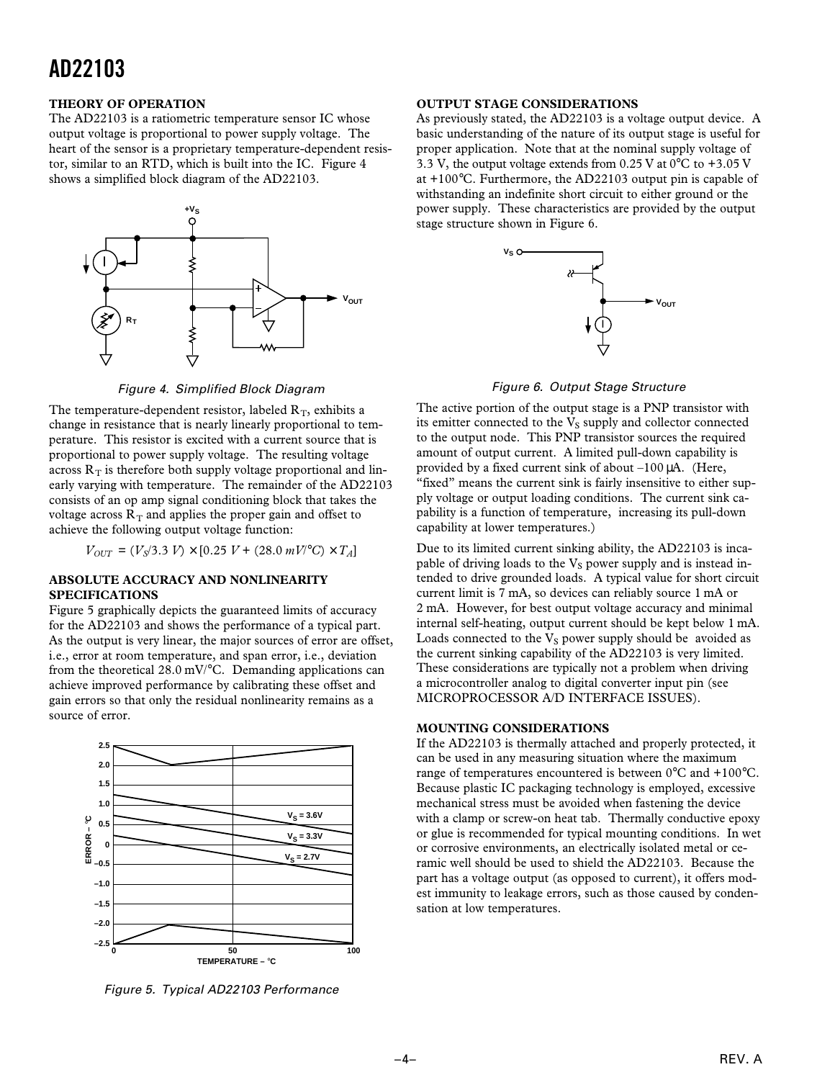### **AD22103**

#### **THEORY OF OPERATION**

The AD22103 is a ratiometric temperature sensor IC whose output voltage is proportional to power supply voltage. The heart of the sensor is a proprietary temperature-dependent resistor, similar to an RTD, which is built into the IC. Figure 4 shows a simplified block diagram of the AD22103.



Figure 4. Simplified Block Diagram

The temperature-dependent resistor, labeled  $R_T$ , exhibits a change in resistance that is nearly linearly proportional to temperature. This resistor is excited with a current source that is proportional to power supply voltage. The resulting voltage across  $R_T$  is therefore both supply voltage proportional and linearly varying with temperature. The remainder of the AD22103 consists of an op amp signal conditioning block that takes the voltage across  $R_T$  and applies the proper gain and offset to achieve the following output voltage function:

 $V_{OUT} = (V_s/3.3 V) \times [0.25 V + (28.0 mV)°C] \times T_A$ 

#### **ABSOLUTE ACCURACY AND NONLINEARITY SPECIFICATIONS**

Figure 5 graphically depicts the guaranteed limits of accuracy for the AD22103 and shows the performance of a typical part. As the output is very linear, the major sources of error are offset, i.e., error at room temperature, and span error, i.e., deviation from the theoretical 28.0 mV/°C. Demanding applications can achieve improved performance by calibrating these offset and gain errors so that only the residual nonlinearity remains as a source of error.



Figure 5. Typical AD22103 Performance

### **OUTPUT STAGE CONSIDERATIONS**

As previously stated, the AD22103 is a voltage output device. A basic understanding of the nature of its output stage is useful for proper application. Note that at the nominal supply voltage of 3.3 V, the output voltage extends from 0.25 V at  $0^{\circ}$ C to +3.05 V at +100°C. Furthermore, the AD22103 output pin is capable of withstanding an indefinite short circuit to either ground or the power supply. These characteristics are provided by the output stage structure shown in Figure 6.



Figure 6. Output Stage Structure

The active portion of the output stage is a PNP transistor with its emitter connected to the  $V<sub>S</sub>$  supply and collector connected to the output node. This PNP transistor sources the required amount of output current. A limited pull-down capability is provided by a fixed current sink of about –100 µA. (Here, "fixed" means the current sink is fairly insensitive to either supply voltage or output loading conditions. The current sink capability is a function of temperature, increasing its pull-down capability at lower temperatures.)

Due to its limited current sinking ability, the AD22103 is incapable of driving loads to the  $V<sub>S</sub>$  power supply and is instead intended to drive grounded loads. A typical value for short circuit current limit is 7 mA, so devices can reliably source 1 mA or 2 mA. However, for best output voltage accuracy and minimal internal self-heating, output current should be kept below 1 mA. Loads connected to the  $V<sub>S</sub>$  power supply should be avoided as the current sinking capability of the AD22103 is very limited. These considerations are typically not a problem when driving a microcontroller analog to digital converter input pin (see MICROPROCESSOR A/D INTERFACE ISSUES).

### **MOUNTING CONSIDERATIONS**

If the AD22103 is thermally attached and properly protected, it can be used in any measuring situation where the maximum range of temperatures encountered is between 0°C and +100°C. Because plastic IC packaging technology is employed, excessive mechanical stress must be avoided when fastening the device with a clamp or screw-on heat tab. Thermally conductive epoxy or glue is recommended for typical mounting conditions. In wet or corrosive environments, an electrically isolated metal or ceramic well should be used to shield the AD22103. Because the part has a voltage output (as opposed to current), it offers modest immunity to leakage errors, such as those caused by condensation at low temperatures.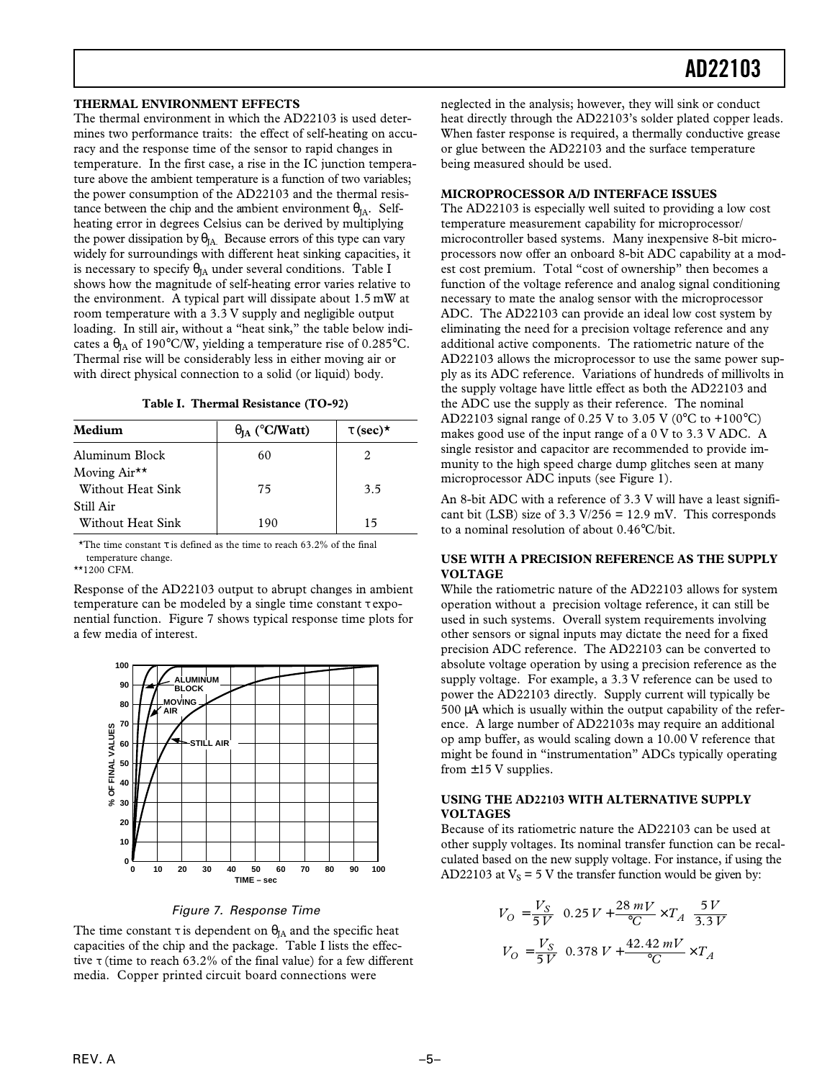#### **THERMAL ENVIRONMENT EFFECTS**

The thermal environment in which the AD22103 is used determines two performance traits: the effect of self-heating on accuracy and the response time of the sensor to rapid changes in temperature. In the first case, a rise in the IC junction temperature above the ambient temperature is a function of two variables; the power consumption of the AD22103 and the thermal resistance between the chip and the ambient environment  $\theta_{IA}$ . Selfheating error in degrees Celsius can be derived by multiplying the power dissipation by  $\theta_{JA}$ . Because errors of this type can vary widely for surroundings with different heat sinking capacities, it is necessary to specify  $\theta_{IA}$  under several conditions. Table I shows how the magnitude of self-heating error varies relative to the environment. A typical part will dissipate about 1.5 mW at room temperature with a 3.3 V supply and negligible output loading. In still air, without a "heat sink," the table below indicates a  $\theta_{IA}$  of 190°C/W, yielding a temperature rise of 0.285°C. Thermal rise will be considerably less in either moving air or with direct physical connection to a solid (or liquid) body.

**Table I. Thermal Resistance (TO-92)**

| Medium                                        | $\theta_{IA}$ (°C/Watt) | $\tau$ (sec)* |
|-----------------------------------------------|-------------------------|---------------|
| Aluminum Block                                | 60                      |               |
| Moving Air <sup>**</sup><br>Without Heat Sink | 75                      | 3.5           |
| Still Air<br>Without Heat Sink                | 190                     | 15            |

\*The time constant  $\tau$  is defined as the time to reach 63.2% of the final temperature change.

\*\*1200 CFM.

Response of the AD22103 output to abrupt changes in ambient temperature can be modeled by a single time constant τ exponential function. Figure 7 shows typical response time plots for a few media of interest.



Figure 7. Response Time

The time constant  $\tau$  is dependent on  $\theta_{IA}$  and the specific heat capacities of the chip and the package. Table I lists the effective τ (time to reach 63.2% of the final value) for a few different media. Copper printed circuit board connections were

neglected in the analysis; however, they will sink or conduct heat directly through the AD22103's solder plated copper leads. When faster response is required, a thermally conductive grease or glue between the AD22103 and the surface temperature being measured should be used.

#### **MICROPROCESSOR A/D INTERFACE ISSUES**

The AD22103 is especially well suited to providing a low cost temperature measurement capability for microprocessor/ microcontroller based systems. Many inexpensive 8-bit microprocessors now offer an onboard 8-bit ADC capability at a modest cost premium. Total "cost of ownership" then becomes a function of the voltage reference and analog signal conditioning necessary to mate the analog sensor with the microprocessor ADC. The AD22103 can provide an ideal low cost system by eliminating the need for a precision voltage reference and any additional active components. The ratiometric nature of the AD22103 allows the microprocessor to use the same power supply as its ADC reference. Variations of hundreds of millivolts in the supply voltage have little effect as both the AD22103 and the ADC use the supply as their reference. The nominal AD22103 signal range of 0.25 V to 3.05 V (0°C to +100°C) makes good use of the input range of a 0 V to 3.3 V ADC. A single resistor and capacitor are recommended to provide immunity to the high speed charge dump glitches seen at many microprocessor ADC inputs (see Figure 1).

An 8-bit ADC with a reference of 3.3 V will have a least significant bit (LSB) size of  $3.3 \text{ V}/256 = 12.9 \text{ mV}$ . This corresponds to a nominal resolution of about 0.46°C/bit.

### **USE WITH A PRECISION REFERENCE AS THE SUPPLY VOLTAGE**

While the ratiometric nature of the AD22103 allows for system operation without a precision voltage reference, it can still be used in such systems. Overall system requirements involving other sensors or signal inputs may dictate the need for a fixed precision ADC reference. The AD22103 can be converted to absolute voltage operation by using a precision reference as the supply voltage. For example, a 3.3 V reference can be used to power the AD22103 directly. Supply current will typically be 500 µA which is usually within the output capability of the reference. A large number of AD22103s may require an additional op amp buffer, as would scaling down a 10.00 V reference that might be found in "instrumentation" ADCs typically operating from  $\pm$ 15 V supplies.

### **USING THE AD22103 WITH ALTERNATIVE SUPPLY VOLTAGES**

Because of its ratiometric nature the AD22103 can be used at other supply voltages. Its nominal transfer function can be recalculated based on the new supply voltage. For instance, if using the AD22103 at  $V_s = 5$  V the transfer function would be given by:

$$
V_O = \frac{V_S}{5V} \left( 0.25 V + \frac{28 \, mV}{^{\circ}C} \times T_A \right) \frac{5 V}{3.3 V}
$$

$$
V_O = \frac{V_S}{5V} \left( 0.378 V + \frac{42.42 \, mV}{^{\circ}C} \times T_A \right)
$$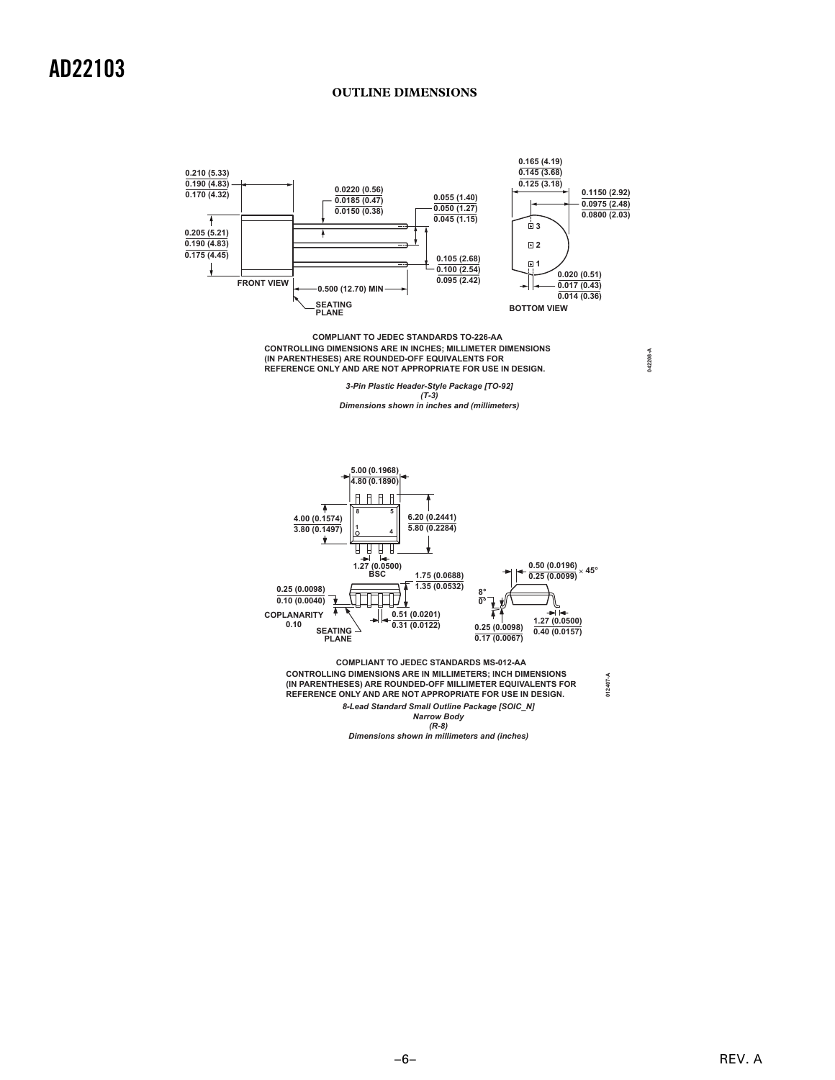### **OUTLINE DIMENSIONS**



**CONTROLLING DIMENSIONS ARE IN INCHES; MILLIMETER DIMENSIONS (IN PARENTHESES) ARE ROUNDED-OFF EQUIVALENTS FOR REFERENCE ONLY AND ARE NOT APPROPRIATE FOR USE IN DESIGN. COMPLIANT TO JEDEC STANDARDS TO-226-AA**

> *3-Pin Plastic Header-Style Package [TO-92] (T-3)*

**042208-A**

*Dimensions shown in inches and (millimeters)*



*8-Lead Standard Small Outline Package [SOIC\_N] Narrow Body (R-8)* **(IN PARENTHESES) ARE ROUNDED-OFF MILLIMETER EQUIVALENTS FOR REFERENCE ONLY AND ARE NOT APPROPRIATE FOR USE IN DESIGN.** 

*Dimensions shown in millimeters and (inches)*